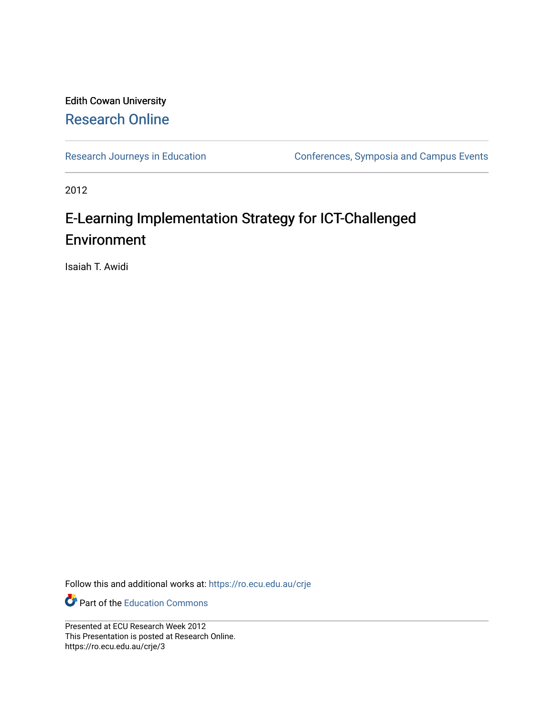#### Edith Cowan University [Research Online](https://ro.ecu.edu.au/)

[Research Journeys in Education](https://ro.ecu.edu.au/crje) Conferences, Symposia and Campus Events

2012

#### E-Learning Implementation Strategy for ICT-Challenged Environment

Isaiah T. Awidi

Follow this and additional works at: [https://ro.ecu.edu.au/crje](https://ro.ecu.edu.au/crje?utm_source=ro.ecu.edu.au%2Fcrje%2F3&utm_medium=PDF&utm_campaign=PDFCoverPages) 

Part of the [Education Commons](http://network.bepress.com/hgg/discipline/784?utm_source=ro.ecu.edu.au%2Fcrje%2F3&utm_medium=PDF&utm_campaign=PDFCoverPages)

Presented at ECU Research Week 2012 This Presentation is posted at Research Online. https://ro.ecu.edu.au/crje/3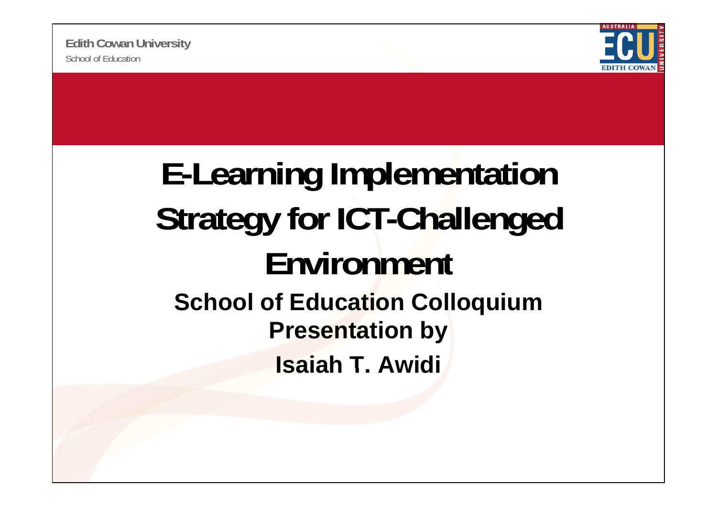

#### **E-Learning Implementation Strategy for ICT-Challenged Ei t nv ronment School of Education Colloquium Presentation by R Isaiah T.** Awidi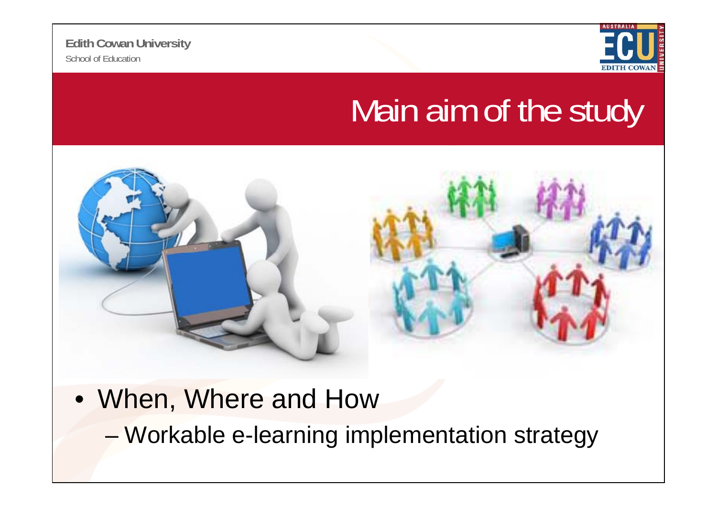

## Main aim of the study



- When, Where and How
	- –Workable e-learning implementation strategy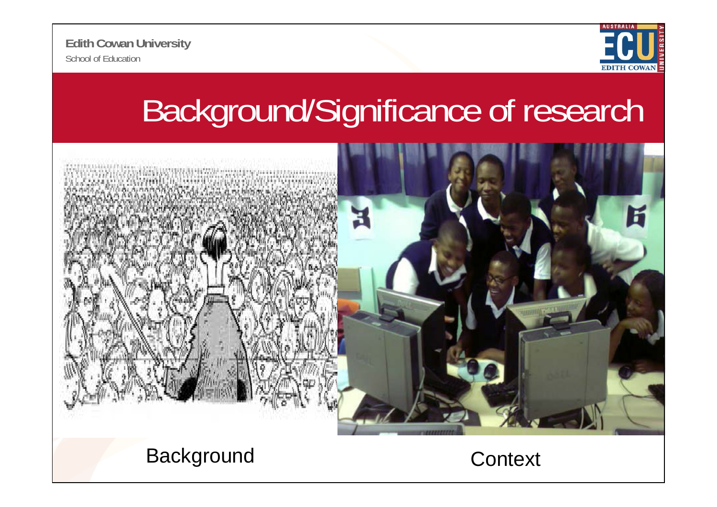

# Background/Significance of research



Background Context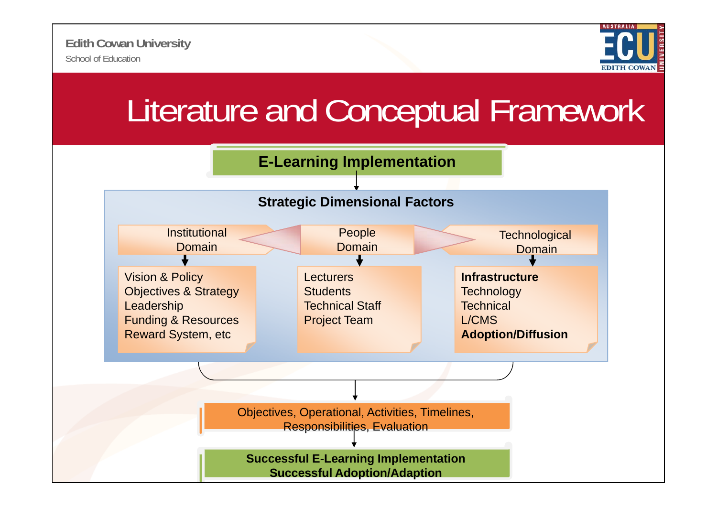

## Literature and Conceptual Framework

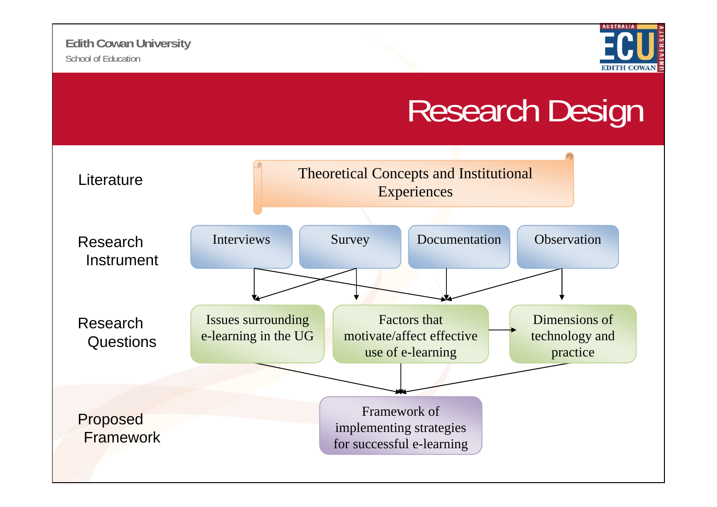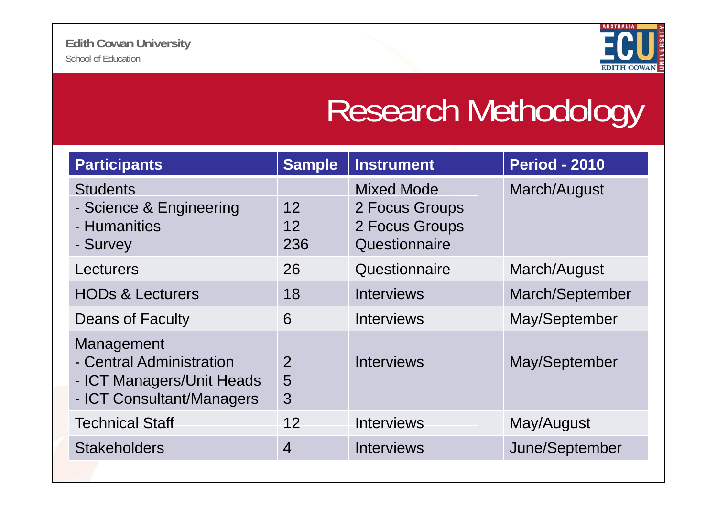

## Research Methodology

| <b>Participants</b>                                                                              | <b>Sample</b>            | <b>Instrument</b>                                                      | <b>Period - 2010</b> |
|--------------------------------------------------------------------------------------------------|--------------------------|------------------------------------------------------------------------|----------------------|
| <b>Students</b><br>- Science & Engineering<br>- Humanities<br>- Survey                           | 12<br>12<br>236          | <b>Mixed Mode</b><br>2 Focus Groups<br>2 Focus Groups<br>Questionnaire | March/August         |
| Lecturers                                                                                        | 26                       | Questionnaire                                                          | March/August         |
| <b>HODs &amp; Lecturers</b>                                                                      | 18                       | Interviews                                                             | March/September      |
| <b>Deans of Faculty</b>                                                                          | 6                        | Interviews                                                             | May/September        |
| Management<br>- Central Administration<br>- ICT Managers/Unit Heads<br>- ICT Consultant/Managers | $\overline{2}$<br>5<br>3 | <b>Interviews</b>                                                      | May/September        |
| <b>Technical Staff</b>                                                                           | 12                       | <b>Interviews</b>                                                      | May/August           |
| <b>Stakeholders</b>                                                                              | $\overline{4}$           | <b>Interviews</b>                                                      | June/September       |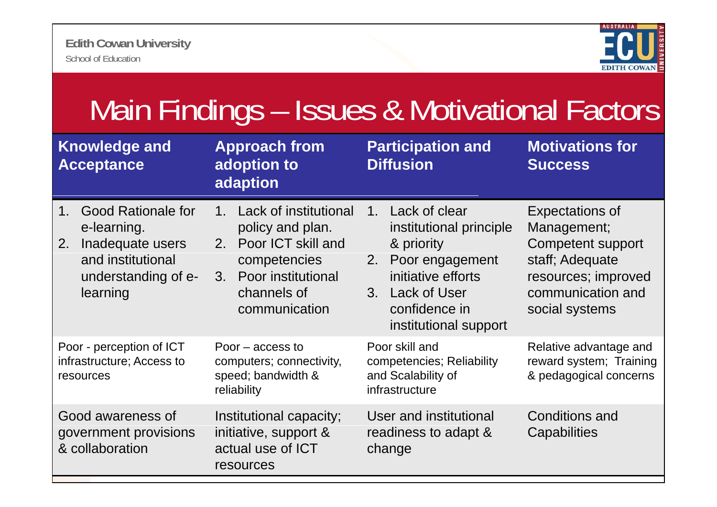

| Main Findings - Issues & Motivational Factors                                                                                         |                                                                                                                                                           |                                                                                                                                                                       |                                                                                                                                      |  |  |
|---------------------------------------------------------------------------------------------------------------------------------------|-----------------------------------------------------------------------------------------------------------------------------------------------------------|-----------------------------------------------------------------------------------------------------------------------------------------------------------------------|--------------------------------------------------------------------------------------------------------------------------------------|--|--|
| <b>Knowledge and</b><br><b>Acceptance</b>                                                                                             | <b>Approach from</b><br>adoption to<br>adaption                                                                                                           | <b>Participation and</b><br><b>Diffusion</b>                                                                                                                          | <b>Motivations for</b><br><b>Success</b>                                                                                             |  |  |
| <b>Good Rationale for</b><br>$1_{-}$<br>e-learning.<br>Inadequate users<br>2.<br>and institutional<br>understanding of e-<br>learning | Lack of institutional<br>$1_{-}$<br>policy and plan.<br>2. Poor ICT skill and<br>competencies<br>Poor institutional<br>3.<br>channels of<br>communication | 1. Lack of clear<br>institutional principle<br>& priority<br>Poor engagement<br>2.<br>initiative efforts<br>3. Lack of User<br>confidence in<br>institutional support | Expectations of<br>Management;<br>Competent support<br>staff; Adequate<br>resources; improved<br>communication and<br>social systems |  |  |
| Poor - perception of ICT<br>infrastructure; Access to<br>resources                                                                    | Poor $-$ access to<br>computers; connectivity,<br>speed; bandwidth &<br>reliability                                                                       | Poor skill and<br>competencies; Reliability<br>and Scalability of<br>infrastructure                                                                                   | Relative advantage and<br>reward system; Training<br>& pedagogical concerns                                                          |  |  |
| Good awareness of<br>government provisions<br>& collaboration                                                                         | Institutional capacity;<br>initiative, support &<br>actual use of ICT<br>resources                                                                        | User and institutional<br>readiness to adapt &<br>change                                                                                                              | <b>Conditions and</b><br>Capabilities                                                                                                |  |  |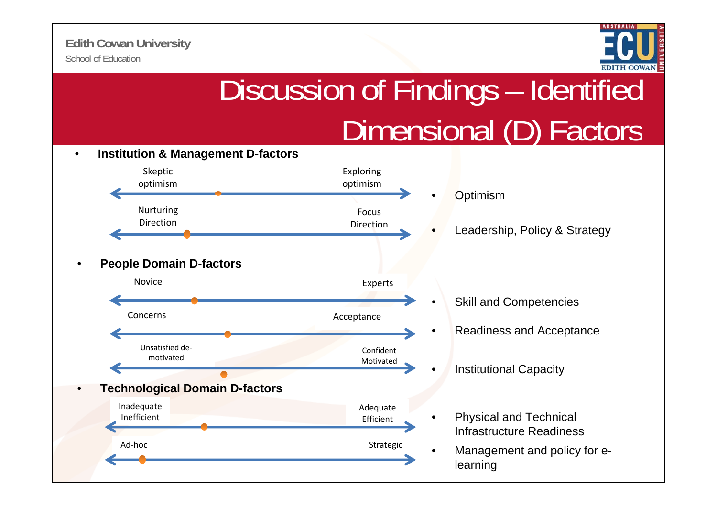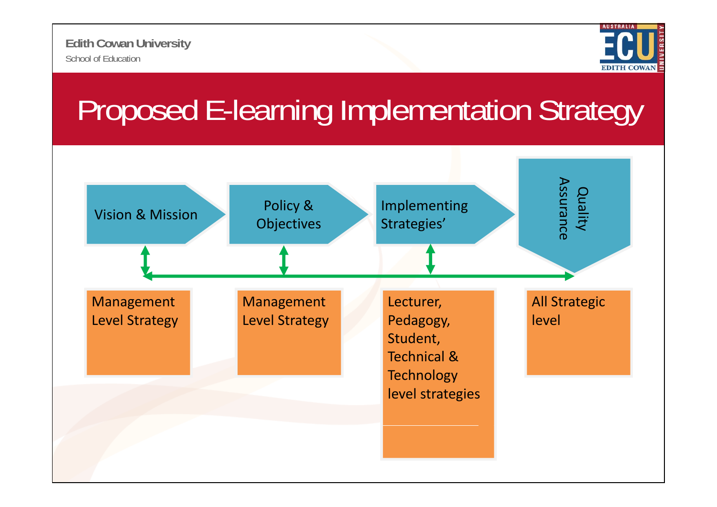

## Proposed E-learning Implementation Strategy

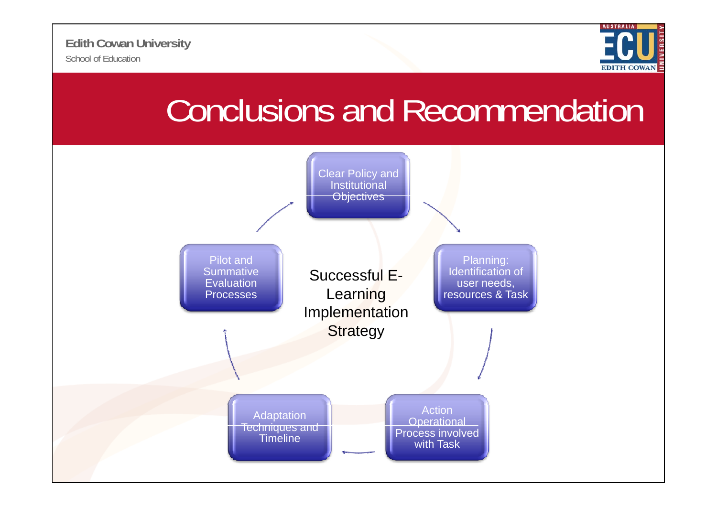

### Conclusions and Recommendation